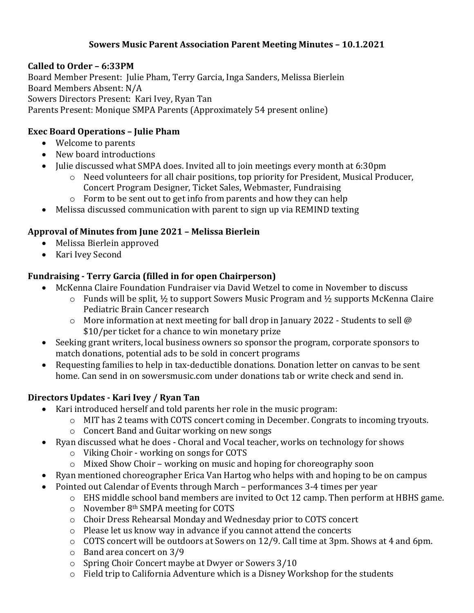#### **Sowers Music Parent Association Parent Meeting Minutes – 10.1.2021**

#### **Called to Order – 6:33PM**

Board Member Present: Julie Pham, Terry Garcia, Inga Sanders, Melissa Bierlein Board Members Absent: N/A Sowers Directors Present: Kari Ivey, Ryan Tan Parents Present: Monique SMPA Parents (Approximately 54 present online)

#### **Exec Board Operations – Julie Pham**

- Welcome to parents
- New board introductions
- Julie discussed what SMPA does. Invited all to join meetings every month at 6:30pm
	- $\circ$  Need volunteers for all chair positions, top priority for President, Musical Producer, Concert Program Designer, Ticket Sales, Webmaster, Fundraising
	- $\circ$  Form to be sent out to get info from parents and how they can help
- Melissa discussed communication with parent to sign up via REMIND texting

# **Approval of Minutes from June 2021 – Melissa Bierlein**

- Melissa Bierlein approved
- Kari Ivey Second

### **Fundraising - Terry Garcia (filled in for open Chairperson)**

- McKenna Claire Foundation Fundraiser via David Wetzel to come in November to discuss
	- $\circ$  Funds will be split,  $\frac{1}{2}$  to support Sowers Music Program and  $\frac{1}{2}$  supports McKenna Claire Pediatric Brain Cancer research
	- $\circ$  More information at next meeting for ball drop in January 2022 Students to sell @ \$10/per ticket for a chance to win monetary prize
- Seeking grant writers, local business owners so sponsor the program, corporate sponsors to match donations, potential ads to be sold in concert programs
- Requesting families to help in tax-deductible donations. Donation letter on canvas to be sent home. Can send in on sowersmusic.com under donations tab or write check and send in.

# **Directors Updates - Kari Ivey / Ryan Tan**

- Kari introduced herself and told parents her role in the music program:
	- $\circ$  MIT has 2 teams with COTS concert coming in December. Congrats to incoming tryouts.
	- o Concert Band and Guitar working on new songs
- Ryan discussed what he does Choral and Vocal teacher, works on technology for shows
	- $\circ$  Viking Choir working on songs for COTS
	- $\circ$  Mixed Show Choir working on music and hoping for choreography soon
- Ryan mentioned choreographer Erica Van Hartog who helps with and hoping to be on campus
- Pointed out Calendar of Events through March performances 3-4 times per year
	- $\circ$  EHS middle school band members are invited to Oct 12 camp. Then perform at HBHS game.
	- $\circ$  November 8<sup>th</sup> SMPA meeting for COTS
	- o Choir Dress Rehearsal Monday and Wednesday prior to COTS concert
	- $\circ$  Please let us know way in advance if you cannot attend the concerts
	- $\circ$  COTS concert will be outdoors at Sowers on 12/9. Call time at 3pm. Shows at 4 and 6pm.
	- o Band area concert on 3/9
	- $\circ$  Spring Choir Concert maybe at Dwyer or Sowers 3/10
	- $\circ$  Field trip to California Adventure which is a Disney Workshop for the students